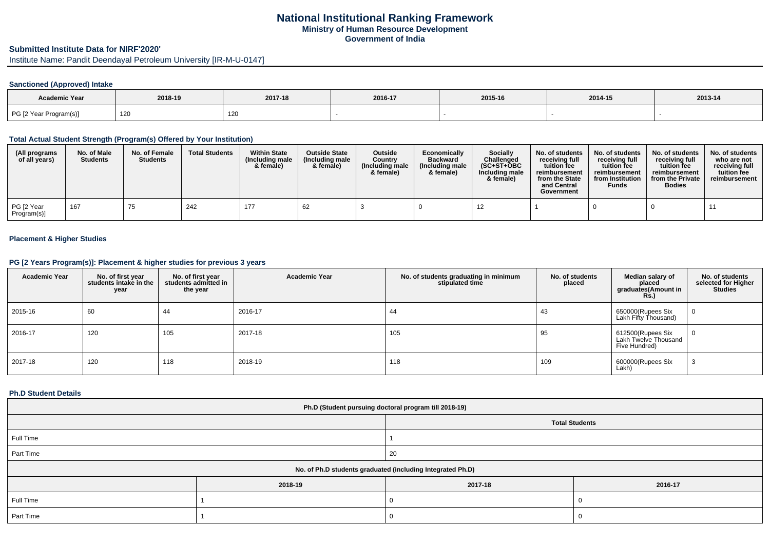# **National Institutional Ranking FrameworkMinistry of Human Resource DevelopmentGovernment of India**

# **Submitted Institute Data for NIRF'2020'**

Institute Name: Pandit Deendayal Petroleum University [IR-M-U-0147]

## **Sanctioned (Approved) Intake**

| Academic Year          | 2018-19 | 2017-18 | 2016-17 | 2015-16 | 2014-15 | $2013 - 14$ |
|------------------------|---------|---------|---------|---------|---------|-------------|
| PG [2 Year Program(s)] | 120     | 120     |         |         |         |             |

### **Total Actual Student Strength (Program(s) Offered by Your Institution)**

| (All programs<br>of all years) | No. of Male<br><b>Students</b> | No. of Female<br><b>Students</b> | <b>Total Students</b> | <b>Within State</b><br>(Including male<br>& female) | <b>Outside State</b><br>(Including male<br>& female) | Outside<br>Country<br>(Including male<br>& female) | Economically<br><b>Backward</b><br>(Including male<br>& female) | Socially<br>Challenged<br>$(SC+ST+OBC)$<br>Including male<br>& female) | No. of students<br>receiving full<br>tuition fee<br>reimbursement<br>from the State<br>and Central<br>Government | No. of students<br>receiving full<br>tuition fee<br>reimbursement<br>from Institution<br><b>Funds</b> | No. of students<br>receiving full<br>tuition fee<br>reimbursement<br>from the Private<br><b>Bodies</b> | No. of students<br>who are not<br>receiving full<br>tuition fee<br>reimbursement |
|--------------------------------|--------------------------------|----------------------------------|-----------------------|-----------------------------------------------------|------------------------------------------------------|----------------------------------------------------|-----------------------------------------------------------------|------------------------------------------------------------------------|------------------------------------------------------------------------------------------------------------------|-------------------------------------------------------------------------------------------------------|--------------------------------------------------------------------------------------------------------|----------------------------------------------------------------------------------|
| PG [2 Year<br>Program(s)]      | 167                            | 75                               | 242                   | 177                                                 | -62                                                  |                                                    |                                                                 |                                                                        |                                                                                                                  |                                                                                                       |                                                                                                        |                                                                                  |

#### **Placement & Higher Studies**

### **PG [2 Years Program(s)]: Placement & higher studies for previous 3 years**

| <b>Academic Year</b> | No. of first year<br>students intake in the<br>year | No. of first year<br>students admitted in<br>the year | <b>Academic Year</b> | No. of students graduating in minimum<br>stipulated time | No. of students<br>placed | Median salary of<br>placed<br>graduates(Amount in<br><b>Rs.)</b> | No. of students<br>selected for Higher<br><b>Studies</b> |
|----------------------|-----------------------------------------------------|-------------------------------------------------------|----------------------|----------------------------------------------------------|---------------------------|------------------------------------------------------------------|----------------------------------------------------------|
| 2015-16              | 60                                                  | 44                                                    | 2016-17              | 44                                                       | 43                        | 650000(Rupees Six<br>Lakh Fifty Thousand)                        |                                                          |
| 2016-17              | 120                                                 | 105                                                   | 2017-18              | 105                                                      | 95                        | 612500(Rupees Six<br>Lakh Twelve Thousand<br>Five Hundred)       |                                                          |
| 2017-18              | 120                                                 | 118                                                   | 2018-19              | 118                                                      | 109                       | 600000(Rupees Six<br>Lakh)                                       |                                                          |

#### **Ph.D Student Details**

| Ph.D (Student pursuing doctoral program till 2018-19)      |         |                       |         |  |  |
|------------------------------------------------------------|---------|-----------------------|---------|--|--|
|                                                            |         | <b>Total Students</b> |         |  |  |
| Full Time                                                  |         |                       |         |  |  |
| Part Time                                                  |         | 20                    |         |  |  |
| No. of Ph.D students graduated (including Integrated Ph.D) |         |                       |         |  |  |
|                                                            | 2018-19 | 2017-18               | 2016-17 |  |  |
| Full Time                                                  |         |                       |         |  |  |
| Part Time                                                  |         |                       |         |  |  |